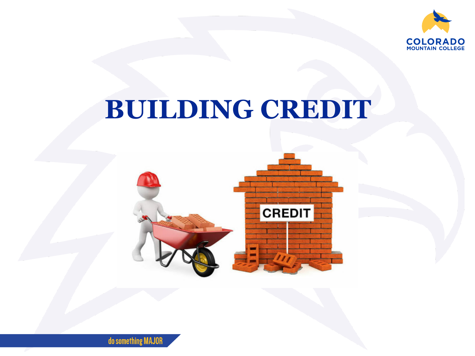

# **BUILDING CREDIT**



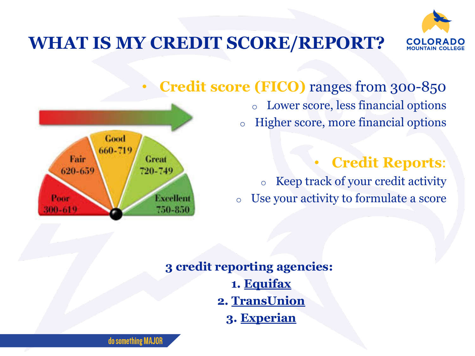

#### **WHAT IS MY CREDIT SCORE/REPORT?**



Higher score, more financial options



o Keep track of your credit activity o Use your activity to formulate a score

**3 credit reporting agencies: 1. [Equifax](https://www.equifax.com/personal/) 2. [TransUnion](https://www.transunion.com/) 3. [Experian](https://www.experian.com/)**



do something MAJOR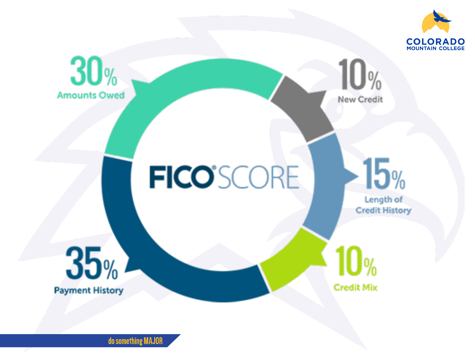

do something MAJOR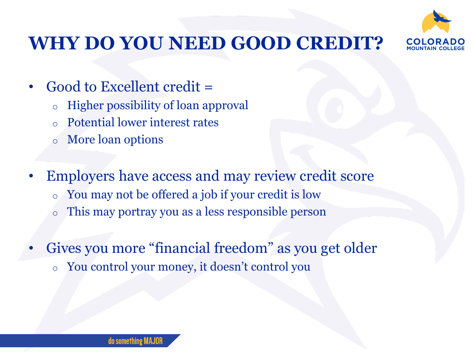

#### **WHY DO YOU NEED GOOD CREDIT?**

- Good to Excellent credit =
	- o Higher possibility of loan approval
	- Potential lower interest rates
	- More loan options
- Employers have access and may review credit score
	- o You may not be offered a job if your credit is low
	- o This may portray you as a less responsible person
- Gives you more "financial freedom" as you get older
	- o You control your money, it doesn't control you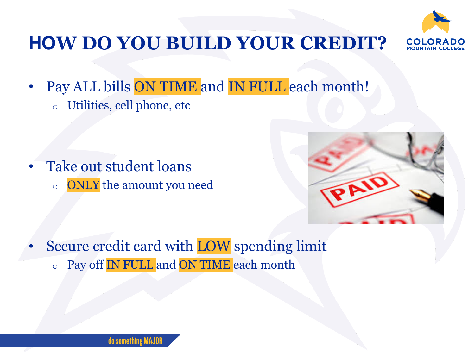

## **HOW DO YOU BUILD YOUR CREDIT?**

Pay ALL bills ON TIME and IN FULL each month! o Utilities, cell phone, etc

Take out student loans o ONLY the amount you need



Secure credit card with LOW spending limit o Pay off IN FULL and ON TIME each month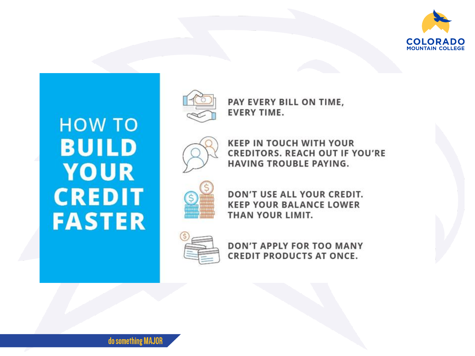

## **HOW TO BUILD** YOUR **CREDIT FASTER**



PAY EVERY BILL ON TIME, **EVERY TIME.** 



**KEEP IN TOUCH WITH YOUR CREDITORS. REACH OUT IF YOU'RE HAVING TROUBLE PAYING.** 



DON'T USE ALL YOUR CREDIT. **KEEP YOUR BALANCE LOWER** THAN YOUR LIMIT.



**DON'T APPLY FOR TOO MANY CREDIT PRODUCTS AT ONCE.**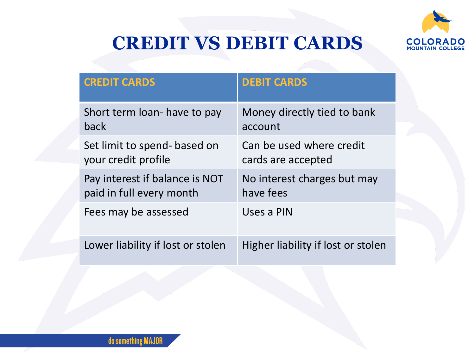

## **CREDIT VS DEBIT CARDS**

| <b>CREDIT CARDS</b>               | <b>DEBIT CARDS</b>                 |
|-----------------------------------|------------------------------------|
| Short term loan- have to pay      | Money directly tied to bank        |
| back                              | account                            |
| Set limit to spend- based on      | Can be used where credit           |
| your credit profile               | cards are accepted                 |
| Pay interest if balance is NOT    | No interest charges but may        |
| paid in full every month          | have fees                          |
| Fees may be assessed              | Uses a PIN                         |
| Lower liability if lost or stolen | Higher liability if lost or stolen |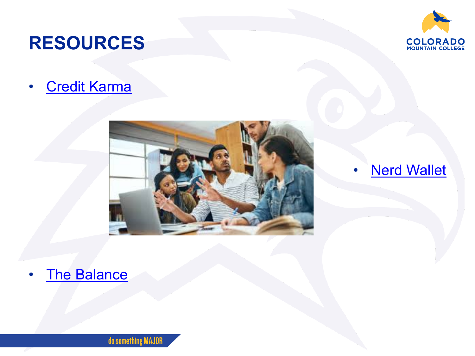### **RESOURCES**

• [Credit Karma](https://www.creditkarma.com/advice/i/how-to-pay-off-debt-5-steps)





#### **[Nerd Wallet](https://www.nerdwallet.com/article/finance/how-to-build-credit)**

• [The Balance](https://www.thebalance.com/ways-to-build-good-credit-960109) 

do something MAJOR